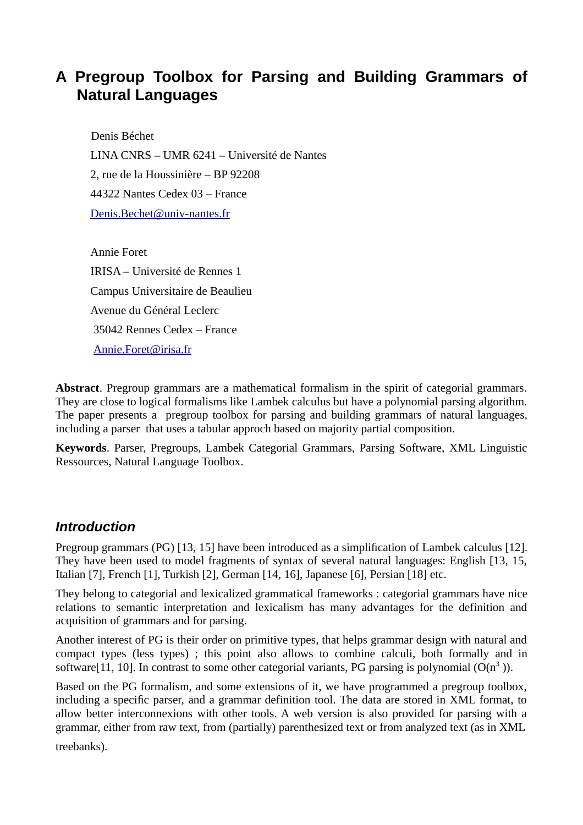# **A Pregroup Toolbox for Parsing and Building Grammars of Natural Languages**

Denis Béchet LINA CNRS – UMR 6241 – Université de Nantes 2, rue de la Houssinière – BP 92208 44322 Nantes Cedex 03 – France [Denis.Bechet@univ-nantes.fr](mailto:Denis.Bechet@univ-nantes.fr)

Annie Foret IRISA – Université de Rennes 1 Campus Universitaire de Beaulieu Avenue du Général Leclerc 35042 Rennes Cedex – France [Annie.Foret@irisa.fr](mailto:Annie.Foret@irisa.fr)

de la Houssinière – BP 92208<br>
Nantes Cedex 03 – France<br>
Eechet@univ-nantes.fr<br>
Forett<br>
– Université de Rennes 1<br>
1<br>
1<br>
Subiversité de Rennes Cedex – France<br>
et u Général Leclerc<br>
2<br>
Rennes Cedex – France<br>
(Eoret@irisa.fr<br> **Abstract**. Pregroup grammars are a mathematical formalism in the spirit of categorial grammars. They are close to logical formalisms like Lambek calculus but have a polynomial parsing algorithm. The paper presents a pregroup toolbox for parsing and building grammars of natural languages, including a parser that uses a tabular approch based on majority partial composition.

**Keywords**. Parser, Pregroups, Lambek Categorial Grammars, Parsing Software, XML Linguistic Ressources, Natural Language Toolbox.

## *Introduction*

Pregroup grammars (PG) [13, 15] have been introduced as a simplification of Lambek calculus [12]. They have been used to model fragments of syntax of several natural languages: English [13, 15, Italian [7], French [1], Turkish [2], German [14, 16], Japanese [6], Persian [18] etc.

They belong to categorial and lexicalized grammatical frameworks : categorial grammars have nice relations to semantic interpretation and lexicalism has many advantages for the definition and acquisition of grammars and for parsing.

Another interest of PG is their order on primitive types, that helps grammar design with natural and compact types (less types) ; this point also allows to combine calculi, both formally and in software[11, 10]. In contrast to some other categorial variants, PG parsing is polynomial ( $O(n^3)$ ).

Based on the PG formalism, and some extensions of it, we have programmed a pregroup toolbox, including a specific parser, and a grammar definition tool. The data are stored in XML format, to allow better interconnexions with other tools. A web version is also provided for parsing with a grammar, either from raw text, from (partially) parenthesized text or from analyzed text (as in XML

treebanks).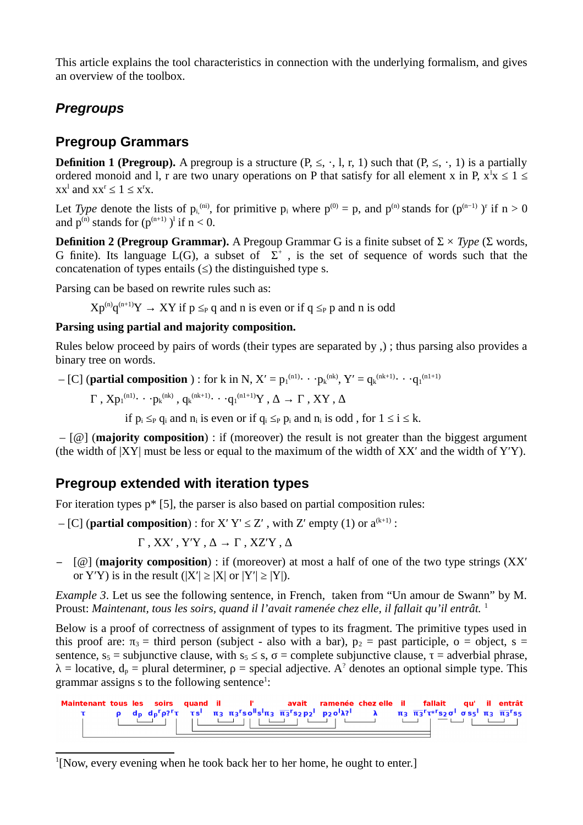This article explains the tool characteristics in connection with the underlying formalism, and gives an overview of the toolbox.

## *Pregroups*

## **Pregroup Grammars**

**Definition 1 (Pregroup).** A pregroup is a structure  $(P, \leq, \cdot, \cdot, 1, r, 1)$  such that  $(P, \leq, \cdot, 1)$  is a partially ordered monoid and l, r are two unary operations on P that satisfy for all element x in P,  $x^1x \leq 1 \leq$  $xx^l$  and  $xx^r \leq 1 \leq x^r x$ .

Let *Type* denote the lists of  $p_i^{(ni)}$ , for primitive  $p_i$  where  $p^{(0)} = p$ , and  $p^{(n)}$  stands for  $(p^{(n-1)})^r$  if  $n \ge 0$ and  $p^{(n)}$  stands for  $(p^{(n+1)})^l$  if  $n \leq 0$ .

**Freguoup.** As pression P is a suctuate ( $r_2$ ,  $r_3$ ,  $r_4$ ,  $r_3$  set unet  $(r_4, r_5, \cdots, r_9)$  is a suctuate ( $r_5$ ( $p_1^{(m)}$ ) if  $r_5$  and  $p_2^{(m)}$ , for primitive p, where  $p^{(0)} = p$ , and  $p^{(0)}$  stands for  $(p^{(m-1)})$  is **Definition 2 (Pregroup Grammar).** A Pregoup Grammar G is a finite subset of Σ × *Type* (Σ words, G finite). Its language  $L(G)$ , a subset of  $\Sigma^+$ , is the set of sequence of words such that the concatenation of types entails  $(\le)$  the distinguished type s.

Parsing can be based on rewrite rules such as:

 $Xp^{(n)}q^{(n+1)}Y \to XY$  if  $p \leq_P q$  and n is even or if  $q \leq_P p$  and n is odd

#### **Parsing using partial and majority composition.**

Rules below proceed by pairs of words (their types are separated by ,) ; thus parsing also provides a binary tree on words.

 $-$  [C] (**partial composition**) : for k in N, X' =  $p_1^{(n1)} \cdot \cdot \cdot p_k^{(nk)}$ , Y' =  $q_k^{(nk+1)} \cdot \cdot \cdot q_1^{(n1+1)}$ 

 $\Gamma$  ,  $Xp_1$ <sup>(n1)</sup>· · ·  $p_k$ <sup>(nk)</sup> ,  $q_k$ <sup>(nk+1)</sup>· · · · $q_1$ <sup>(n1+1)</sup>Y , Δ → Γ , XY , Δ

if  $p_i \leq_P q_i$  and  $n_i$  is even or if  $q_i \leq_P p_i$  and  $n_i$  is odd, for  $1 \leq i \leq k$ .

 – [@] (**majority composition**) : if (moreover) the result is not greater than the biggest argument (the width of |XY| must be less or equal to the maximum of the width of XX′ and the width of Y′Y).

### **Pregroup extended with iteration types**

For iteration types p\* [5], the parser is also based on partial composition rules:

 $-[C]$  (**partial composition**) : for X' Y'  $\leq$  Z', with Z' empty (1) or  $a^{(k+1)}$  :

Γ , XX′ , Y′Y , ∆ → Γ , XZ′Y , ∆

− [@] (**majority composition**) : if (moreover) at most a half of one of the two type strings (XX′ or Y'Y) is in the result  $(|X'| \geq |X|)$  or  $|Y'| \geq |Y|$ ).

*Example 3*. Let us see the following sentence, in French, taken from "Un amour de Swann" by M. Proust: *Maintenant, tous les soirs, quand il l'avait ramenée chez elle, il fallait qu'il entrât.* <sup>1</sup>

Below is a proof of correctness of assignment of types to its fragment. The primitive types used in this proof are:  $\pi_3$  = third person (subject - also with a bar),  $p_2$  = past participle, o = object, s = sentence,  $s_5$  = subjunctive clause, with  $s_5 \leq s$ ,  $\sigma$  = complete subjunctive clause,  $\tau$  = adverbial phrase,  $\lambda$  = locative,  $d_p$  = plural determiner,  $p$  = special adjective. A<sup>2</sup> denotes an optional simple type. This grammar assigns s to the following sentence<sup>1</sup>:



<span id="page-1-0"></span> $1$ [Now, every evening when he took back her to her home, he ought to enter.]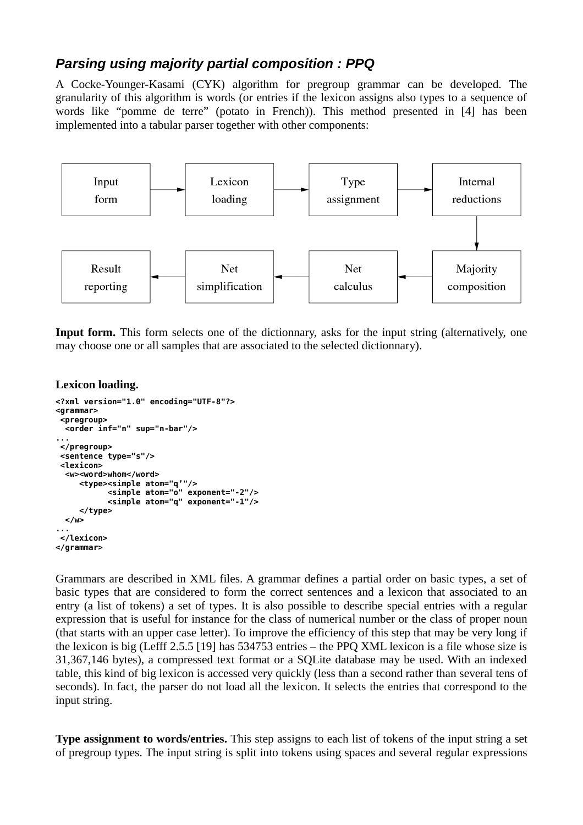## *Parsing using majority partial composition : PPQ*

A Cocke-Younger-Kasami (CYK) algorithm for pregroup grammar can be developed. The granularity of this algorithm is words (or entries if the lexicon assigns also types to a sequence of words like "pomme de terre" (potato in French)). This method presented in [4] has been implemented into a tabular parser together with other components:



**Input form.** This form selects one of the dictionnary, asks for the input string (alternatively, one may choose one or all samples that are associated to the selected dictionnary).

#### **Lexicon loading.**

```
<?xml version="1.0" encoding="UTF-8"?>
<grammar>
<pregroup>
  <order inf="n" sup="n-bar"/>
...
</pregroup>
<sentence type="s"/>
<lexicon>
  <w><word>whom</word>
 <type><simple atom="q'"/>
 <simple atom="o" exponent="-2"/>
           <simple atom="q" exponent="-1"/>
      </type>
  </w>
...
</lexicon>
</grammar>
```
Grammars are described in XML files. A grammar defines a partial order on basic types, a set of basic types that are considered to form the correct sentences and a lexicon that associated to an entry (a list of tokens) a set of types. It is also possible to describe special entries with a regular expression that is useful for instance for the class of numerical number or the class of proper noun (that starts with an upper case letter). To improve the efficiency of this step that may be very long if the lexicon is big (Lefff 2.5.5 [19] has 534753 entries – the PPQ XML lexicon is a file whose size is 31,367,146 bytes), a compressed text format or a SQLite database may be used. With an indexed table, this kind of big lexicon is accessed very quickly (less than a second rather than several tens of seconds). In fact, the parser do not load all the lexicon. It selects the entries that correspond to the input string.

**Type assignment to words/entries.** This step assigns to each list of tokens of the input string a set of pregroup types. The input string is split into tokens using spaces and several regular expressions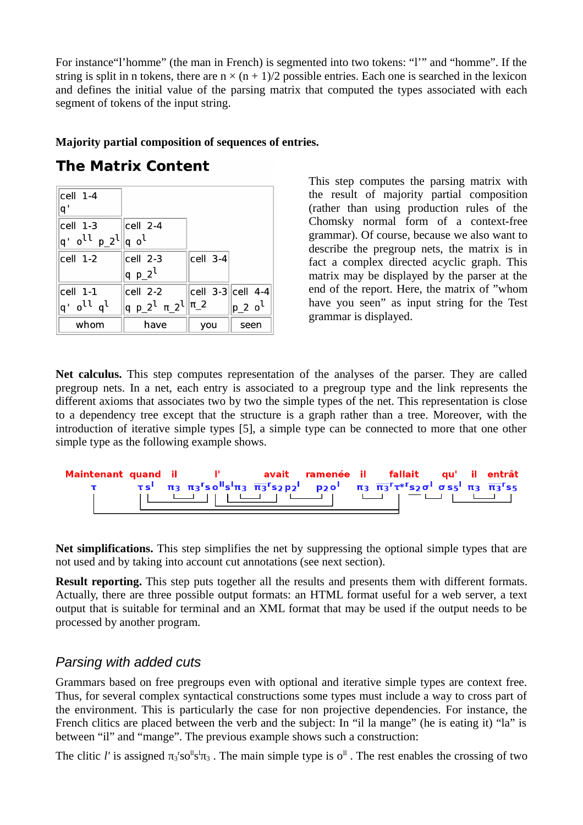For instance"l'homme" (the man in French) is segmented into two tokens: "l'" and "homme". If the string is split in n tokens, there are  $n \times (n + 1)/2$  possible entries. Each one is searched in the lexicon and defines the initial value of the parsing matrix that computed the types associated with each segment of tokens of the input string.

#### **Majority partial composition of sequences of entries.**

| cell 1-4<br>q'                                                                          |                                                     |                             |                |
|-----------------------------------------------------------------------------------------|-----------------------------------------------------|-----------------------------|----------------|
| cell 1-3                                                                                | $ cell 2-4$                                         |                             |                |
| $ {\mathsf q}^\cdot\>$ o <sup>ll</sup> p_2 <sup>l</sup> $ {\mathsf q}\>$ o <sup>l</sup> |                                                     |                             |                |
| cell 1-2                                                                                | cell 2-3                                            | cell 3-4                    |                |
|                                                                                         | $q p_2$                                             |                             |                |
| cell 1-1                                                                                | cell 2-2                                            | $\ $ cell 3-3 $\ $ cell 4-4 |                |
| q' o <sup>ll</sup> q <sup>l</sup>                                                       | q p_2 <sup>l</sup> $\pi$ _2 <sup>l</sup>   $\pi$ _2 |                             | $ p_2 \circ^l$ |
| whom                                                                                    | have                                                | you                         | seen           |

This step computes the parsing matrix with the result of majority partial composition (rather than using production rules of the Chomsky normal form of a context-free grammar). Of course, because we also want to describe the pregroup nets, the matrix is in fact a complex directed acyclic graph. This matrix may be displayed by the parser at the end of the report. Here, the matrix of "whom have you seen" as input string for the Test grammar is displayed.

**FIX CONTERTIE**<br>
This step computes the parsing matter than using production rules<br>
(cell 2-4<br>
(cell 2-4<br>
(cell 2-3<br>
(cell 3-3<br>
(cell 3-3<br>
(cell 2-2<br>
(cell 2-2<br>
(cell 2-2<br>
(cell 3-3<br>
(cell 3-3<br>
(cell 3-3<br>
(cell 2-2<br>
(cell **Net calculus.** This step computes representation of the analyses of the parser. They are called pregroup nets. In a net, each entry is associated to a pregroup type and the link represents the different axioms that associates two by two the simple types of the net. This representation is close to a dependency tree except that the structure is a graph rather than a tree. Moreover, with the introduction of iterative simple types [5], a simple type can be connected to more that one other simple type as the following example shows.

```
Ť
```
**Net simplifications.** This step simplifies the net by suppressing the optional simple types that are not used and by taking into account cut annotations (see next section).

**Result reporting.** This step puts together all the results and presents them with different formats. Actually, there are three possible output formats: an HTML format useful for a web server, a text output that is suitable for terminal and an XML format that may be used if the output needs to be processed by another program.

## *Parsing with added cuts*

Grammars based on free pregroups even with optional and iterative simple types are context free. Thus, for several complex syntactical constructions some types must include a way to cross part of the environment. This is particularly the case for non projective dependencies. For instance, the French clitics are placed between the verb and the subject: In "il la mange" (he is eating it) "la" is between "il" and "mange". The previous example shows such a construction:

The clitic *l'* is assigned  $\pi_3$ 'so<sup>ll</sup>s<sup>1</sup> $\pi_3$  . The main simple type is o<sup>ll</sup> . The rest enables the crossing of two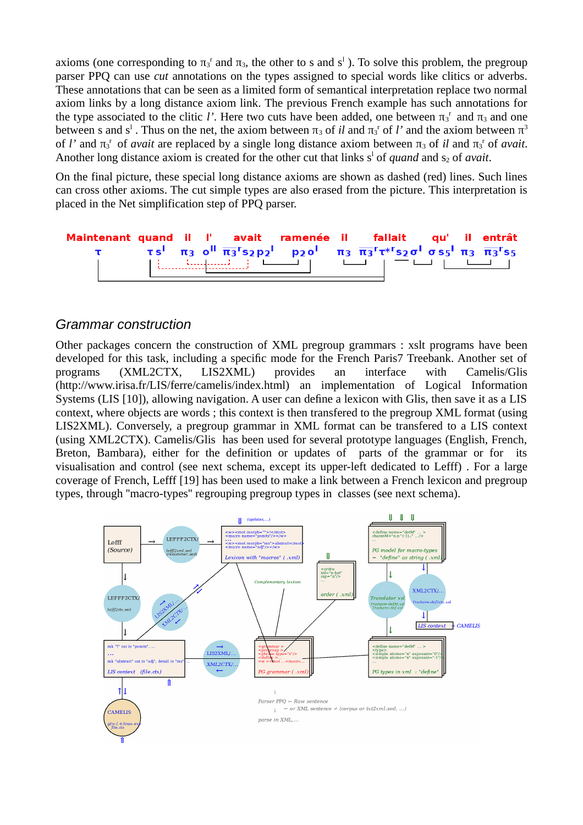axioms (one corresponding to  $\pi_3$ <sup>r</sup> and  $\pi_3$ , the other to s and s<sup>1</sup>). To solve this problem, the pregroup parser PPQ can use *cut* annotations on the types assigned to special words like clitics or adverbs. These annotations that can be seen as a limited form of semantical interpretation replace two normal axiom links by a long distance axiom link. The previous French example has such annotations for the type associated to the clitic *l'*. Here two cuts have been added, one between  $\pi_3^r$  and  $\pi_3$  and one between s and s<sup>1</sup>. Thus on the net, the axiom between  $\pi_3$  of *il* and  $\pi_3$ <sup>r</sup> of *l'* and the axiom between  $\pi^3$ of *l'* and  $\pi_3$ <sup>r</sup> of *avait* are replaced by a single long distance axiom between  $\pi_3$  of *il* and  $\pi_3$ <sup>r</sup> of *avait*. Another long distance axiom is created for the other cut that links s<sup>1</sup> of *quand* and s<sub>2</sub> of *avait*.

On the final picture, these special long distance axioms are shown as dashed (red) lines. Such lines can cross other axioms. The cut simple types are also erased from the picture. This interpretation is placed in the Net simplification step of PPQ parser.



### *Grammar construction*

bicture, these special long distance axioms are shown as dashed (red) lines. Since a<br>re axioms. The cut simple types are also erased from the picture. This interpret<br>et simplification step of PPQ parser.<br> **nt quantities** Other packages concern the construction of XML pregroup grammars : xslt programs have been developed for this task, including a specific mode for the French Paris7 Treebank. Another set of programs (XML2CTX, LIS2XML) provides an interface with Camelis/Glis (http://www.irisa.fr/LIS/ferre/camelis/index.html) an implementation of Logical Information Systems (LIS [10]), allowing navigation. A user can define a lexicon with Glis, then save it as a LIS context, where objects are words ; this context is then transfered to the pregroup XML format (using LIS2XML). Conversely, a pregroup grammar in XML format can be transfered to a LIS context (using XML2CTX). Camelis/Glis has been used for several prototype languages (English, French, Breton, Bambara), either for the definition or updates of parts of the grammar or for its visualisation and control (see next schema, except its upper-left dedicated to Lefff) . For a large coverage of French, Lefff [19] has been used to make a link between a French lexicon and pregroup types, through ''macro-types'' regrouping pregroup types in classes (see next schema).

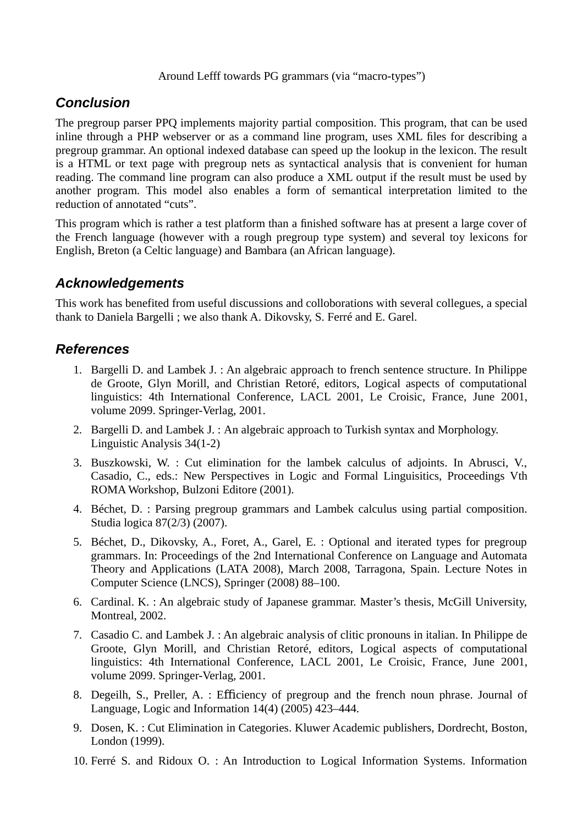#### Around Lefff towards PG grammars (via "macro-types")

## *Conclusion*

The pregroup parser PPQ implements majority partial composition. This program, that can be used inline through a PHP webserver or as a command line program, uses XML files for describing a pregroup grammar. An optional indexed database can speed up the lookup in the lexicon. The result is a HTML or text page with pregroup nets as syntactical analysis that is convenient for human reading. The command line program can also produce a XML output if the result must be used by another program. This model also enables a form of semantical interpretation limited to the reduction of annotated "cuts".

This program which is rather a test platform than a finished software has at present a large cover of the French language (however with a rough pregroup type system) and several toy lexicons for English, Breton (a Celtic language) and Bambara (an African language).

## *Acknowledgements*

This work has benefited from useful discussions and colloborations with several collegues, a special thank to Daniela Bargelli ; we also thank A. Dikovsky, S. Ferré and E. Garel.

## *References*

- 1. Bargelli D. and Lambek J. : An algebraic approach to french sentence structure. In Philippe de Groote, Glyn Morill, and Christian Retoré, editors, Logical aspects of computational linguistics: 4th International Conference, LACL 2001, Le Croisic, France, June 2001, volume 2099. Springer-Verlag, 2001.
- 2. Bargelli D. and Lambek J. : An algebraic approach to Turkish syntax and Morphology. Linguistic Analysis 34(1-2)
- 3. Buszkowski, W. : Cut elimination for the lambek calculus of adjoints. In Abrusci, V., Casadio, C., eds.: New Perspectives in Logic and Formal Linguisitics, Proceedings Vth ROMA Workshop, Bulzoni Editore (2001).
- 4. Béchet, D. : Parsing pregroup grammars and Lambek calculus using partial composition. Studia logica 87(2/3) (2007).
- The Mayle Vall pregnoly ness as sylinatucal anlarysis hat is convenient of<br>normand line program can also produce a XML output if the result must be<br>montand line program can also produce a XML output if the result must be<br>m 5. Béchet, D., Dikovsky, A., Foret, A., Garel, E. : Optional and iterated types for pregroup grammars. In: Proceedings of the 2nd International Conference on Language and Automata Theory and Applications (LATA 2008), March 2008, Tarragona, Spain. Lecture Notes in Computer Science (LNCS), Springer (2008) 88–100.
- 6. Cardinal. K. : An algebraic study of Japanese grammar. Master's thesis, McGill University, Montreal, 2002.
- 7. Casadio C. and Lambek J. : An algebraic analysis of clitic pronouns in italian. In Philippe de Groote, Glyn Morill, and Christian Retoré, editors, Logical aspects of computational linguistics: 4th International Conference, LACL 2001, Le Croisic, France, June 2001, volume 2099. Springer-Verlag, 2001.
- 8. Degeilh, S., Preller, A. : Efficiency of pregroup and the french noun phrase. Journal of Language, Logic and Information 14(4) (2005) 423–444.
- 9. Dosen, K. : Cut Elimination in Categories. Kluwer Academic publishers, Dordrecht, Boston, London (1999).
- 10. Ferré S. and Ridoux O. : An Introduction to Logical Information Systems. Information